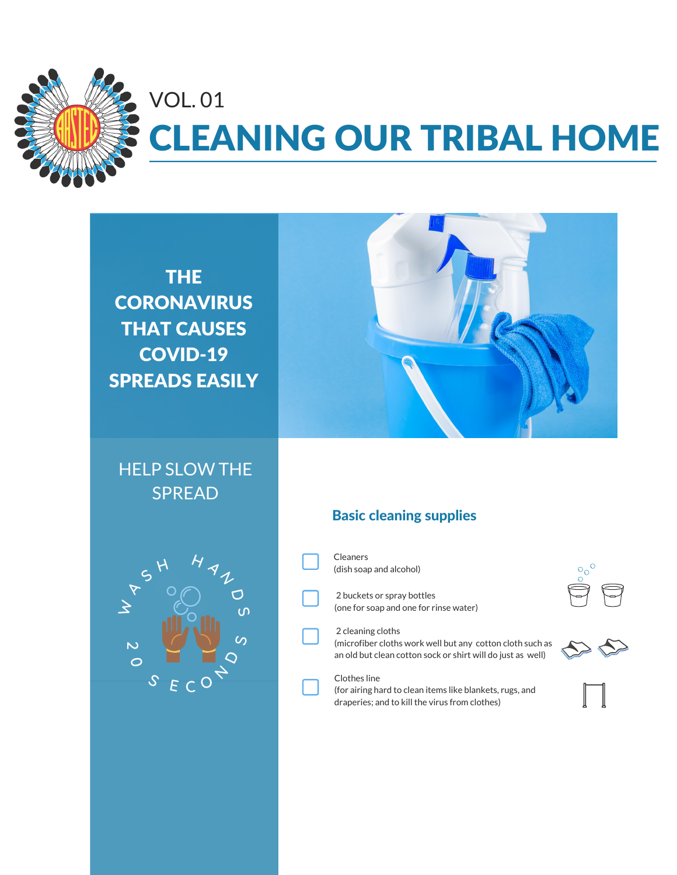VOL. 01

# CLEANING OUR TRIBAL HOME

THE **CORONAVIRUS** THAT CAUSES COVID-19 SPREADS EASILY

HELP SLOW THE SPREAD





# Basic cleaning supplies

**Cleaners** (dish soap and alcohol)

2 buckets or spray bottles (one for soap and one for rinse water)

#### 2 cleaning cloths

(microfiber cloths work well but any cotton cloth such as an old but clean cotton sock or shirt will do just as well)

#### Clothes line

(for airing hard to clean items like blankets, rugs, and draperies; and to kill the virus from clothes)